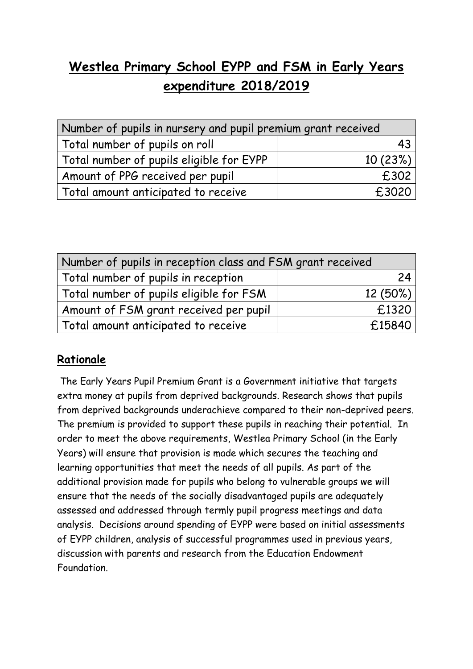## **Westlea Primary School EYPP and FSM in Early Years expenditure 2018/2019**

| Number of pupils in nursery and pupil premium grant received |         |  |
|--------------------------------------------------------------|---------|--|
| Total number of pupils on roll                               | 43      |  |
| Total number of pupils eligible for EYPP                     | 10(23%) |  |
| Amount of PPG received per pupil                             | £302    |  |
| Total amount anticipated to receive                          | £3020   |  |

| Number of pupils in reception class and FSM grant received |            |  |
|------------------------------------------------------------|------------|--|
| Total number of pupils in reception                        | 24         |  |
| Total number of pupils eligible for FSM                    | $12(50\%)$ |  |
| Amount of FSM grant received per pupil                     | £1320      |  |
| Total amount anticipated to receive                        | £15840     |  |

## **Rationale**

The Early Years Pupil Premium Grant is a Government initiative that targets extra money at pupils from deprived backgrounds. Research shows that pupils from deprived backgrounds underachieve compared to their non-deprived peers. The premium is provided to support these pupils in reaching their potential. In order to meet the above requirements, Westlea Primary School (in the Early Years) will ensure that provision is made which secures the teaching and learning opportunities that meet the needs of all pupils. As part of the additional provision made for pupils who belong to vulnerable groups we will ensure that the needs of the socially disadvantaged pupils are adequately assessed and addressed through termly pupil progress meetings and data analysis. Decisions around spending of EYPP were based on initial assessments of EYPP children, analysis of successful programmes used in previous years, discussion with parents and research from the Education Endowment Foundation.